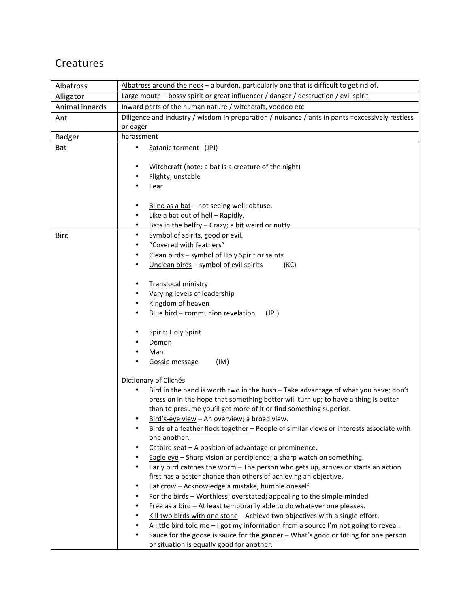## **Creatures**

| Albatross      | Albatross around the neck $-$ a burden, particularly one that is difficult to get rid of.                                                                                                                               |
|----------------|-------------------------------------------------------------------------------------------------------------------------------------------------------------------------------------------------------------------------|
| Alligator      | Large mouth - bossy spirit or great influencer / danger / destruction / evil spirit                                                                                                                                     |
| Animal innards | Inward parts of the human nature / witchcraft, voodoo etc                                                                                                                                                               |
| Ant            | Diligence and industry / wisdom in preparation / nuisance / ants in pants = excessively restless                                                                                                                        |
|                | or eager                                                                                                                                                                                                                |
| <b>Badger</b>  | harassment                                                                                                                                                                                                              |
| Bat            | Satanic torment (JPJ)<br>$\bullet$                                                                                                                                                                                      |
|                |                                                                                                                                                                                                                         |
|                | Witchcraft (note: a bat is a creature of the night)<br>٠                                                                                                                                                                |
|                | Flighty; unstable                                                                                                                                                                                                       |
|                | Fear                                                                                                                                                                                                                    |
|                |                                                                                                                                                                                                                         |
|                | Blind as a bat - not seeing well; obtuse.<br>٠                                                                                                                                                                          |
|                | Like a bat out of hell - Rapidly.<br>Bats in the belfry - Crazy; a bit weird or nutty.<br>٠                                                                                                                             |
| <b>Bird</b>    | Symbol of spirits, good or evil.<br>$\bullet$                                                                                                                                                                           |
|                | "Covered with feathers"                                                                                                                                                                                                 |
|                | Clean birds - symbol of Holy Spirit or saints<br>٠                                                                                                                                                                      |
|                | Unclean birds - symbol of evil spirits<br>(KC)                                                                                                                                                                          |
|                |                                                                                                                                                                                                                         |
|                | Translocal ministry<br>٠                                                                                                                                                                                                |
|                | Varying levels of leadership                                                                                                                                                                                            |
|                | Kingdom of heaven<br>٠                                                                                                                                                                                                  |
|                | Blue bird - communion revelation<br>(JPJ)                                                                                                                                                                               |
|                |                                                                                                                                                                                                                         |
|                | Spirit: Holy Spirit                                                                                                                                                                                                     |
|                | Demon                                                                                                                                                                                                                   |
|                | Man                                                                                                                                                                                                                     |
|                | (IM)<br>Gossip message                                                                                                                                                                                                  |
|                | Dictionary of Clichés                                                                                                                                                                                                   |
|                | Bird in the hand is worth two in the bush - Take advantage of what you have; don't                                                                                                                                      |
|                | press on in the hope that something better will turn up; to have a thing is better                                                                                                                                      |
|                | than to presume you'll get more of it or find something superior.                                                                                                                                                       |
|                | Bird's-eye view - An overview; a broad view.<br>٠                                                                                                                                                                       |
|                | Birds of a feather flock together - People of similar views or interests associate with                                                                                                                                 |
|                | one another.                                                                                                                                                                                                            |
|                | Catbird seat - A position of advantage or prominence.                                                                                                                                                                   |
|                | Eagle eye - Sharp vision or percipience; a sharp watch on something.                                                                                                                                                    |
|                | Early bird catches the worm - The person who gets up, arrives or starts an action                                                                                                                                       |
|                | first has a better chance than others of achieving an objective.                                                                                                                                                        |
|                | Eat crow - Acknowledge a mistake; humble oneself.<br>٠                                                                                                                                                                  |
|                | For the birds - Worthless; overstated; appealing to the simple-minded                                                                                                                                                   |
|                | Free as a bird - At least temporarily able to do whatever one pleases.                                                                                                                                                  |
|                | Kill two birds with one stone - Achieve two objectives with a single effort.                                                                                                                                            |
|                |                                                                                                                                                                                                                         |
|                |                                                                                                                                                                                                                         |
|                | A little bird told me - I got my information from a source I'm not going to reveal.<br>Sauce for the goose is sauce for the gander - What's good or fitting for one person<br>or situation is equally good for another. |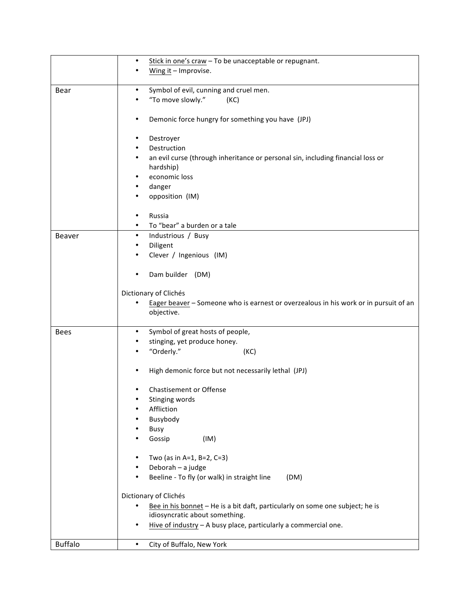|                | Stick in one's craw - To be unacceptable or repugnant.<br>٠                                   |
|----------------|-----------------------------------------------------------------------------------------------|
|                | Wing it - Improvise.                                                                          |
|                |                                                                                               |
| Bear           | Symbol of evil, cunning and cruel men.<br>$\bullet$<br>"To move slowly."<br>(KC)<br>$\bullet$ |
|                |                                                                                               |
|                | Demonic force hungry for something you have (JPJ)<br>٠                                        |
|                |                                                                                               |
|                | Destroyer<br>٠                                                                                |
|                | Destruction<br>٠                                                                              |
|                | an evil curse (through inheritance or personal sin, including financial loss or<br>٠          |
|                | hardship)                                                                                     |
|                | economic loss<br>٠<br>٠                                                                       |
|                | danger<br>opposition (IM)<br>٠                                                                |
|                |                                                                                               |
|                | Russia<br>$\bullet$                                                                           |
|                | To "bear" a burden or a tale<br>$\bullet$                                                     |
| Beaver         | Industrious / Busy<br>$\bullet$                                                               |
|                | Diligent<br>٠                                                                                 |
|                | Clever / Ingenious (IM)                                                                       |
|                |                                                                                               |
|                | Dam builder (DM)                                                                              |
|                | Dictionary of Clichés                                                                         |
|                | Eager beaver - Someone who is earnest or overzealous in his work or in pursuit of an<br>٠     |
|                | objective.                                                                                    |
|                |                                                                                               |
| <b>Bees</b>    | Symbol of great hosts of people,<br>٠                                                         |
|                | stinging, yet produce honey.                                                                  |
|                | "Orderly."<br>(KC)                                                                            |
|                | High demonic force but not necessarily lethal (JPJ)<br>$\bullet$                              |
|                |                                                                                               |
|                | Chastisement or Offense                                                                       |
|                | Stinging words                                                                                |
|                | Affliction<br>٠                                                                               |
|                | Busybody                                                                                      |
|                | Busy                                                                                          |
|                | Gossip<br>(IM)                                                                                |
|                | ٠                                                                                             |
|                | Two (as in A=1, B=2, C=3)<br>Deborah - a judge                                                |
|                | Beeline - To fly (or walk) in straight line<br>(DM)<br>$\bullet$                              |
|                |                                                                                               |
|                | Dictionary of Clichés                                                                         |
|                | Bee in his bonnet - He is a bit daft, particularly on some one subject; he is                 |
|                | idiosyncratic about something.                                                                |
|                | Hive of industry - A busy place, particularly a commercial one.<br>٠                          |
| <b>Buffalo</b> | City of Buffalo, New York<br>$\bullet$                                                        |
|                |                                                                                               |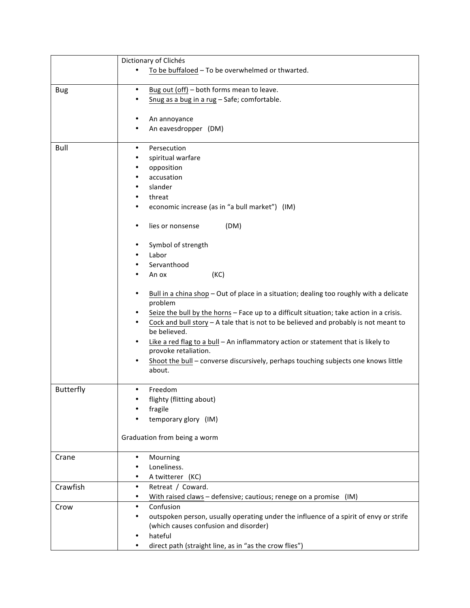|                  | Dictionary of Clichés                                                                                                               |
|------------------|-------------------------------------------------------------------------------------------------------------------------------------|
|                  | To be buffaloed - To be overwhelmed or thwarted.                                                                                    |
|                  | $\bullet$                                                                                                                           |
| <b>Bug</b>       | Bug out (off) - both forms mean to leave.<br>Snug as a bug in a rug - Safe; comfortable.                                            |
|                  |                                                                                                                                     |
|                  | An annoyance<br>٠                                                                                                                   |
|                  | An eavesdropper (DM)                                                                                                                |
|                  |                                                                                                                                     |
| Bull             | Persecution<br>$\bullet$                                                                                                            |
|                  | spiritual warfare<br>٠                                                                                                              |
|                  | opposition<br>٠<br>٠                                                                                                                |
|                  | accusation<br>slander<br>٠                                                                                                          |
|                  | threat<br>$\bullet$                                                                                                                 |
|                  | economic increase (as in "a bull market") (IM)<br>٠                                                                                 |
|                  |                                                                                                                                     |
|                  | (DM)<br>lies or nonsense<br>٠                                                                                                       |
|                  | Symbol of strength<br>٠                                                                                                             |
|                  | Labor                                                                                                                               |
|                  | Servanthood                                                                                                                         |
|                  | (KC)<br>An ox                                                                                                                       |
|                  |                                                                                                                                     |
|                  | Bull in a china shop - Out of place in a situation; dealing too roughly with a delicate<br>٠<br>problem                             |
|                  | Seize the bull by the horns - Face up to a difficult situation; take action in a crisis.<br>$\bullet$                               |
|                  | Cock and bull story $-$ A tale that is not to be believed and probably is not meant to<br>٠                                         |
|                  | be believed.                                                                                                                        |
|                  | Like a red flag to a bull - An inflammatory action or statement that is likely to<br>$\bullet$                                      |
|                  | provoke retaliation.<br>٠                                                                                                           |
|                  | Shoot the bull - converse discursively, perhaps touching subjects one knows little<br>about.                                        |
|                  |                                                                                                                                     |
| <b>Butterfly</b> | Freedom<br>$\bullet$                                                                                                                |
|                  | flighty (flitting about)                                                                                                            |
|                  | fragile                                                                                                                             |
|                  | temporary glory (IM)                                                                                                                |
|                  | Graduation from being a worm                                                                                                        |
|                  |                                                                                                                                     |
| Crane            | Mourning<br>٠                                                                                                                       |
|                  | Loneliness.                                                                                                                         |
|                  | A twitterer (KC)<br>٠                                                                                                               |
| Crawfish         | Retreat / Coward.<br>$\bullet$                                                                                                      |
|                  | With raised claws - defensive; cautious; renege on a promise (IM)<br>٠                                                              |
| Crow             | Confusion<br>$\bullet$                                                                                                              |
|                  | outspoken person, usually operating under the influence of a spirit of envy or strife<br>٠<br>(which causes confusion and disorder) |
|                  | hateful<br>٠                                                                                                                        |
|                  | direct path (straight line, as in "as the crow flies")                                                                              |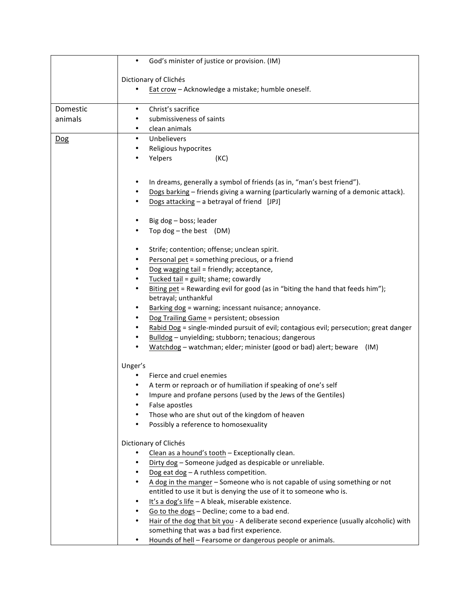|          | God's minister of justice or provision. (IM)<br>$\bullet$                                           |
|----------|-----------------------------------------------------------------------------------------------------|
|          |                                                                                                     |
|          | Dictionary of Clichés                                                                               |
|          | Eat crow - Acknowledge a mistake; humble oneself.                                                   |
| Domestic | Christ's sacrifice<br>$\bullet$                                                                     |
| animals  | submissiveness of saints<br>$\bullet$                                                               |
|          | clean animals<br>$\bullet$                                                                          |
| Dog      | Unbelievers<br>$\bullet$                                                                            |
|          | Religious hypocrites<br>$\bullet$                                                                   |
|          | Yelpers<br>(KC)<br>٠                                                                                |
|          |                                                                                                     |
|          | In dreams, generally a symbol of friends (as in, "man's best friend").<br>٠                         |
|          | Dogs barking - friends giving a warning (particularly warning of a demonic attack).<br>٠            |
|          | Dogs attacking - a betrayal of friend [JPJ]                                                         |
|          |                                                                                                     |
|          | Big dog - boss; leader<br>٠                                                                         |
|          | Top dog $-$ the best (DM)                                                                           |
|          |                                                                                                     |
|          | Strife; contention; offense; unclean spirit.<br>٠                                                   |
|          | Personal pet = something precious, or a friend                                                      |
|          | Dog wagging tail = friendly; acceptance,                                                            |
|          | Tucked tail = guilt; shame; cowardly<br>$\bullet$                                                   |
|          | Biting pet = Rewarding evil for good (as in "biting the hand that feeds him");<br>٠                 |
|          | betrayal; unthankful                                                                                |
|          | Barking dog = warning; incessant nuisance; annoyance.<br>$\bullet$                                  |
|          | Dog Trailing Game = persistent; obsession                                                           |
|          | Rabid Dog = single-minded pursuit of evil; contagious evil; persecution; great danger               |
|          | Bulldog - unyielding; stubborn; tenacious; dangerous                                                |
|          | Watchdog - watchman; elder; minister (good or bad) alert; beware (IM)                               |
|          | Unger's                                                                                             |
|          | Fierce and cruel enemies                                                                            |
|          | A term or reproach or of humiliation if speaking of one's self<br>$\bullet$                         |
|          | Impure and profane persons (used by the Jews of the Gentiles)<br>$\bullet$                          |
|          | False apostles                                                                                      |
|          | Those who are shut out of the kingdom of heaven                                                     |
|          | Possibly a reference to homosexuality<br>٠                                                          |
|          | Dictionary of Clichés                                                                               |
|          | Clean as a hound's tooth - Exceptionally clean.                                                     |
|          | Dirty dog - Someone judged as despicable or unreliable.<br>٠                                        |
|          | Dog eat dog - A ruthless competition.<br>$\bullet$                                                  |
|          | A dog in the manger - Someone who is not capable of using something or not<br>$\bullet$             |
|          | entitled to use it but is denying the use of it to someone who is.                                  |
|          | It's a dog's life - A bleak, miserable existence.<br>$\bullet$                                      |
|          | Go to the dogs - Decline; come to a bad end.<br>٠                                                   |
|          | Hair of the dog that bit you - A deliberate second experience (usually alcoholic) with<br>$\bullet$ |
|          | something that was a bad first experience.                                                          |
|          | Hounds of hell - Fearsome or dangerous people or animals.<br>$\bullet$                              |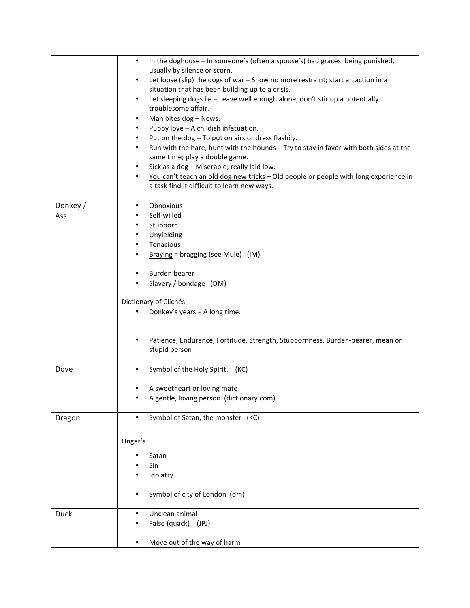|             | In the doghouse - In someone's (often a spouse's) bad graces; being punished,<br>$\bullet$                                   |
|-------------|------------------------------------------------------------------------------------------------------------------------------|
|             | usually by silence or scorn.<br>Let loose (slip) the dogs of war - Show no more restraint; start an action in a<br>$\bullet$ |
|             | situation that has been building up to a crisis.                                                                             |
|             | Let sleeping dogs lie - Leave well enough alone; don't stir up a potentially<br>$\bullet$<br>troublesome affair.             |
|             | Man bites dog - News.<br>$\bullet$                                                                                           |
|             | Puppy love - A childish infatuation.<br>$\bullet$                                                                            |
|             | Put on the dog - To put on airs or dress flashily.<br>$\bullet$                                                              |
|             | Run with the hare, hunt with the hounds - Try to stay in favor with both sides at the<br>$\bullet$                           |
|             | same time; play a double game.                                                                                               |
|             | Sick as a dog - Miserable; really laid low.<br>$\bullet$                                                                     |
|             | You can't teach an old dog new tricks - Old people or people with long experience in<br>$\bullet$                            |
|             | a task find it difficult to learn new ways.                                                                                  |
| Donkey /    | Obnoxious<br>$\bullet$                                                                                                       |
| Ass         | Self-willed<br>$\bullet$                                                                                                     |
|             | Stubborn<br>$\bullet$                                                                                                        |
|             | Unyielding<br>٠                                                                                                              |
|             | Tenacious<br>٠                                                                                                               |
|             | Braying = bragging (see Mule) $(IM)$<br>$\bullet$                                                                            |
|             | Burden bearer<br>$\bullet$                                                                                                   |
|             | Slavery / bondage (DM)<br>$\bullet$                                                                                          |
|             |                                                                                                                              |
|             | Dictionary of Clichés                                                                                                        |
|             | Donkey's years - A long time.                                                                                                |
|             |                                                                                                                              |
|             | Patience, Endurance, Fortitude, Strength, Stubbornness, Burden-bearer, mean or<br>$\bullet$                                  |
|             | stupid person                                                                                                                |
|             |                                                                                                                              |
| Dove        | Symbol of the Holy Spirit. (KC)<br>$\bullet$                                                                                 |
|             | A sweetheart or loving mate                                                                                                  |
|             | A gentle, loving person (dictionary.com)                                                                                     |
|             |                                                                                                                              |
| Dragon      | Symbol of Satan, the monster (KC)<br>$\bullet$                                                                               |
|             |                                                                                                                              |
|             | Unger's                                                                                                                      |
|             | Satan                                                                                                                        |
|             | Sin                                                                                                                          |
|             | Idolatry                                                                                                                     |
|             |                                                                                                                              |
|             | Symbol of city of London (dm)<br>٠                                                                                           |
| <b>Duck</b> | Unclean animal<br>$\bullet$                                                                                                  |
|             | False (quack) (JPJ)                                                                                                          |
|             |                                                                                                                              |
|             | Move out of the way of harm<br>٠                                                                                             |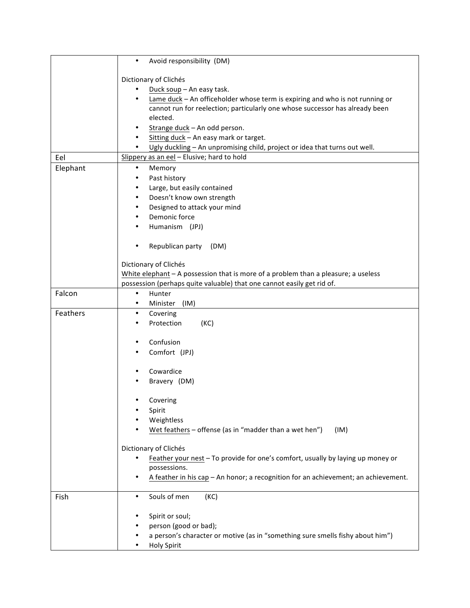|          | Avoid responsibility (DM)<br>$\bullet$                                                    |
|----------|-------------------------------------------------------------------------------------------|
|          | Dictionary of Clichés                                                                     |
|          | Duck soup - An easy task.                                                                 |
|          | Lame duck - An officeholder whose term is expiring and who is not running or<br>$\bullet$ |
|          | cannot run for reelection; particularly one whose successor has already been              |
|          | elected.                                                                                  |
|          | Strange duck - An odd person.<br>٠                                                        |
|          | Sitting duck - An easy mark or target.<br>$\bullet$                                       |
|          | Ugly duckling - An unpromising child, project or idea that turns out well.                |
| Eel      | Slippery as an eel - Elusive; hard to hold                                                |
| Elephant | Memory<br>$\bullet$                                                                       |
|          | Past history<br>$\bullet$                                                                 |
|          | Large, but easily contained<br>$\bullet$                                                  |
|          | Doesn't know own strength<br>٠                                                            |
|          | Designed to attack your mind<br>$\bullet$                                                 |
|          | Demonic force<br>٠                                                                        |
|          | Humanism (JPJ)                                                                            |
|          |                                                                                           |
|          | Republican party (DM)<br>$\bullet$                                                        |
|          |                                                                                           |
|          | Dictionary of Clichés                                                                     |
|          | White elephant $-$ A possession that is more of a problem than a pleasure; a useless      |
|          | possession (perhaps quite valuable) that one cannot easily get rid of.                    |
| Falcon   | Hunter<br>$\bullet$                                                                       |
|          | (IM)<br>Minister<br>٠                                                                     |
| Feathers | Covering<br>$\bullet$                                                                     |
|          | Protection<br>(KC)<br>٠                                                                   |
|          | Confusion<br>٠                                                                            |
|          | Comfort (JPJ)                                                                             |
|          |                                                                                           |
|          | Cowardice                                                                                 |
|          | Bravery (DM)                                                                              |
|          |                                                                                           |
|          | Covering                                                                                  |
|          | Spirit                                                                                    |
|          | Weightless                                                                                |
|          | Wet feathers - offense (as in "madder than a wet hen")<br>(IM)                            |
|          |                                                                                           |
|          | Dictionary of Clichés                                                                     |
|          | Feather your nest - To provide for one's comfort, usually by laying up money or           |
|          | possessions.                                                                              |
|          | A feather in his cap - An honor; a recognition for an achievement; an achievement.<br>٠   |
| Fish     | Souls of men<br>(KC)<br>$\bullet$                                                         |
|          |                                                                                           |
|          | Spirit or soul;                                                                           |
|          | person (good or bad);                                                                     |
|          | a person's character or motive (as in "something sure smells fishy about him")            |
|          | <b>Holy Spirit</b>                                                                        |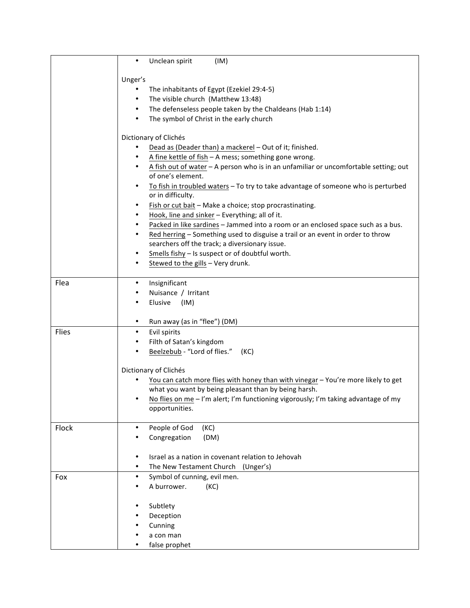|       | Unclean spirit<br>(IM)<br>$\bullet$                                                                                    |
|-------|------------------------------------------------------------------------------------------------------------------------|
|       | Unger's                                                                                                                |
|       | The inhabitants of Egypt (Ezekiel 29:4-5)                                                                              |
|       | The visible church (Matthew 13:48)<br>$\bullet$                                                                        |
|       | The defenseless people taken by the Chaldeans (Hab 1:14)<br>$\bullet$                                                  |
|       | The symbol of Christ in the early church<br>$\bullet$                                                                  |
|       | Dictionary of Clichés                                                                                                  |
|       | Dead as (Deader than) a mackerel - Out of it; finished.                                                                |
|       | A fine kettle of fish - A mess; something gone wrong.<br>٠                                                             |
|       | A fish out of water - A person who is in an unfamiliar or uncomfortable setting; out<br>$\bullet$<br>of one's element. |
|       | To fish in troubled waters - To try to take advantage of someone who is perturbed<br>$\bullet$<br>or in difficulty.    |
|       | Fish or cut bait - Make a choice; stop procrastinating.<br>$\bullet$                                                   |
|       | Hook, line and sinker - Everything; all of it.<br>$\bullet$                                                            |
|       | Packed in like sardines - Jammed into a room or an enclosed space such as a bus.<br>$\bullet$                          |
|       | Red herring - Something used to disguise a trail or an event in order to throw<br>$\bullet$                            |
|       | searchers off the track; a diversionary issue.                                                                         |
|       | Smells fishy - Is suspect or of doubtful worth.<br>$\bullet$                                                           |
|       | Stewed to the gills - Very drunk.<br>$\bullet$                                                                         |
| Flea  | Insignificant<br>$\bullet$                                                                                             |
|       | Nuisance / Irritant<br>$\bullet$                                                                                       |
|       | Elusive<br>(IM)                                                                                                        |
|       |                                                                                                                        |
|       | Run away (as in "flee") (DM)<br>٠                                                                                      |
| Flies | Evil spirits<br>$\bullet$                                                                                              |
|       | Filth of Satan's kingdom<br>$\bullet$                                                                                  |
|       | Beelzebub - "Lord of flies."<br>$\bullet$<br>(KC)                                                                      |
|       | Dictionary of Clichés                                                                                                  |
|       | You can catch more flies with honey than with vinegar - You're more likely to get                                      |
|       | what you want by being pleasant than by being harsh.                                                                   |
|       | No flies on me - I'm alert; I'm functioning vigorously; I'm taking advantage of my                                     |
|       | opportunities.                                                                                                         |
|       |                                                                                                                        |
| Flock | People of God<br>(KC)<br>$\bullet$                                                                                     |
|       | Congregation<br>(DM)                                                                                                   |
|       | Israel as a nation in covenant relation to Jehovah<br>$\bullet$                                                        |
|       | The New Testament Church (Unger's)<br>٠                                                                                |
| Fox   | Symbol of cunning, evil men.<br>$\bullet$                                                                              |
|       | A burrower.<br>(KC)                                                                                                    |
|       |                                                                                                                        |
|       | Subtlety                                                                                                               |
|       | Deception                                                                                                              |
|       | Cunning                                                                                                                |
|       | a con man                                                                                                              |
|       | false prophet                                                                                                          |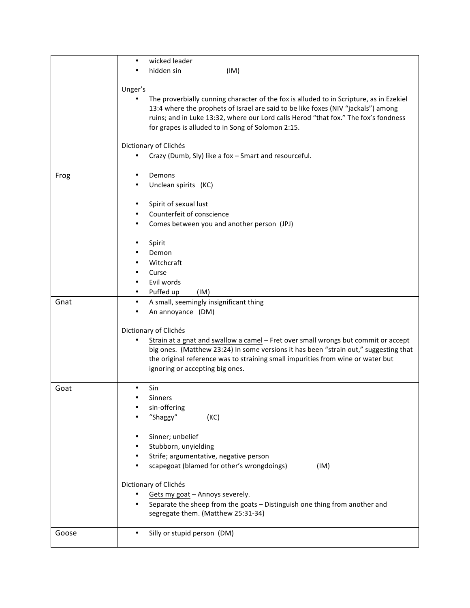|       | wicked leader<br>$\bullet$<br>hidden sin<br>(IM)                                                                                                                                                                                                                                                                         |
|-------|--------------------------------------------------------------------------------------------------------------------------------------------------------------------------------------------------------------------------------------------------------------------------------------------------------------------------|
|       |                                                                                                                                                                                                                                                                                                                          |
|       | Unger's                                                                                                                                                                                                                                                                                                                  |
|       | The proverbially cunning character of the fox is alluded to in Scripture, as in Ezekiel<br>13:4 where the prophets of Israel are said to be like foxes (NIV "jackals") among<br>ruins; and in Luke 13:32, where our Lord calls Herod "that fox." The fox's fondness<br>for grapes is alluded to in Song of Solomon 2:15. |
|       | Dictionary of Clichés                                                                                                                                                                                                                                                                                                    |
|       | Crazy (Dumb, Sly) like a fox - Smart and resourceful.                                                                                                                                                                                                                                                                    |
| Frog  | Demons<br>$\bullet$                                                                                                                                                                                                                                                                                                      |
|       | Unclean spirits (KC)<br>٠                                                                                                                                                                                                                                                                                                |
|       | Spirit of sexual lust<br>$\bullet$                                                                                                                                                                                                                                                                                       |
|       | Counterfeit of conscience<br>$\bullet$                                                                                                                                                                                                                                                                                   |
|       | Comes between you and another person (JPJ)<br>$\bullet$                                                                                                                                                                                                                                                                  |
|       | ٠                                                                                                                                                                                                                                                                                                                        |
|       | Spirit<br>Demon                                                                                                                                                                                                                                                                                                          |
|       | Witchcraft                                                                                                                                                                                                                                                                                                               |
|       | Curse                                                                                                                                                                                                                                                                                                                    |
|       | Evil words                                                                                                                                                                                                                                                                                                               |
|       | Puffed up<br>(IM)<br>٠                                                                                                                                                                                                                                                                                                   |
| Gnat  | A small, seemingly insignificant thing<br>$\bullet$                                                                                                                                                                                                                                                                      |
|       | An annoyance (DM)                                                                                                                                                                                                                                                                                                        |
|       | Dictionary of Clichés                                                                                                                                                                                                                                                                                                    |
|       | Strain at a gnat and swallow a camel - Fret over small wrongs but commit or accept                                                                                                                                                                                                                                       |
|       | big ones. (Matthew 23:24) In some versions it has been "strain out," suggesting that                                                                                                                                                                                                                                     |
|       | the original reference was to straining small impurities from wine or water but                                                                                                                                                                                                                                          |
|       | ignoring or accepting big ones.                                                                                                                                                                                                                                                                                          |
| Goat  | Sin                                                                                                                                                                                                                                                                                                                      |
|       | Sinners                                                                                                                                                                                                                                                                                                                  |
|       | sin-offering<br>٠                                                                                                                                                                                                                                                                                                        |
|       | "Shaggy"<br>(KC)                                                                                                                                                                                                                                                                                                         |
|       | Sinner; unbelief<br>$\bullet$                                                                                                                                                                                                                                                                                            |
|       | Stubborn, unyielding                                                                                                                                                                                                                                                                                                     |
|       | Strife; argumentative, negative person<br>$\bullet$                                                                                                                                                                                                                                                                      |
|       | scapegoat (blamed for other's wrongdoings)<br>(IM)                                                                                                                                                                                                                                                                       |
|       | Dictionary of Clichés                                                                                                                                                                                                                                                                                                    |
|       | Gets my goat - Annoys severely.                                                                                                                                                                                                                                                                                          |
|       | Separate the sheep from the goats - Distinguish one thing from another and<br>$\bullet$                                                                                                                                                                                                                                  |
|       | segregate them. (Matthew 25:31-34)                                                                                                                                                                                                                                                                                       |
| Goose | Silly or stupid person (DM)<br>$\bullet$                                                                                                                                                                                                                                                                                 |
|       |                                                                                                                                                                                                                                                                                                                          |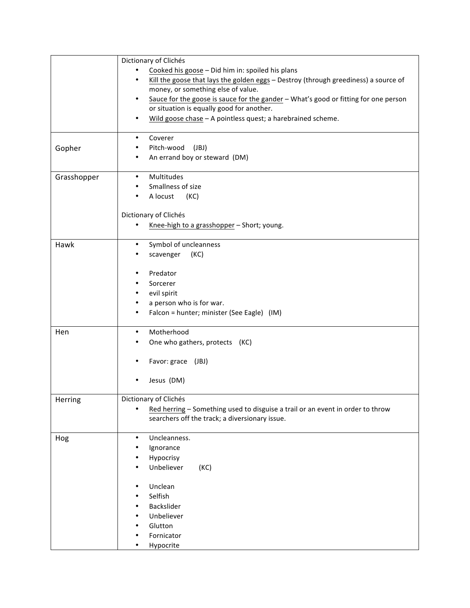|             | Dictionary of Clichés                                                                            |
|-------------|--------------------------------------------------------------------------------------------------|
|             | Cooked his goose - Did him in: spoiled his plans                                                 |
|             | Kill the goose that lays the golden eggs - Destroy (through greediness) a source of<br>٠         |
|             | money, or something else of value.                                                               |
|             | Sauce for the goose is sauce for the gander - What's good or fitting for one person<br>$\bullet$ |
|             | or situation is equally good for another.                                                        |
|             | Wild goose chase - A pointless quest; a harebrained scheme.<br>$\bullet$                         |
|             |                                                                                                  |
|             | Coverer<br>$\bullet$                                                                             |
| Gopher      | Pitch-wood<br>(JBJ)                                                                              |
|             | An errand boy or steward (DM)<br>٠                                                               |
|             |                                                                                                  |
| Grasshopper | Multitudes<br>$\bullet$                                                                          |
|             | Smallness of size<br>٠                                                                           |
|             | A locust<br>(KC)                                                                                 |
|             |                                                                                                  |
|             | Dictionary of Clichés                                                                            |
|             | Knee-high to a grasshopper - Short; young.<br>$\bullet$                                          |
|             |                                                                                                  |
| Hawk        | Symbol of uncleanness<br>$\bullet$                                                               |
|             | (KC)<br>scavenger                                                                                |
|             |                                                                                                  |
|             | Predator<br>٠                                                                                    |
|             | Sorcerer                                                                                         |
|             | evil spirit                                                                                      |
|             | a person who is for war.<br>$\bullet$                                                            |
|             | Falcon = hunter; minister (See Eagle) (IM)<br>٠                                                  |
| Hen         | Motherhood<br>$\bullet$                                                                          |
|             |                                                                                                  |
|             | One who gathers, protects (KC)                                                                   |
|             | Favor: grace (JBJ)                                                                               |
|             |                                                                                                  |
|             | Jesus (DM)<br>$\bullet$                                                                          |
|             |                                                                                                  |
| Herring     | Dictionary of Clichés                                                                            |
|             | Red herring - Something used to disguise a trail or an event in order to throw<br>$\bullet$      |
|             | searchers off the track; a diversionary issue.                                                   |
|             |                                                                                                  |
| Hog         | Uncleanness.<br>$\bullet$                                                                        |
|             | Ignorance                                                                                        |
|             | Hypocrisy                                                                                        |
|             | Unbeliever<br>(KC)                                                                               |
|             |                                                                                                  |
|             | Unclean                                                                                          |
|             | Selfish                                                                                          |
|             | Backslider                                                                                       |
|             | Unbeliever                                                                                       |
|             | Glutton                                                                                          |
|             | Fornicator                                                                                       |
|             | Hypocrite                                                                                        |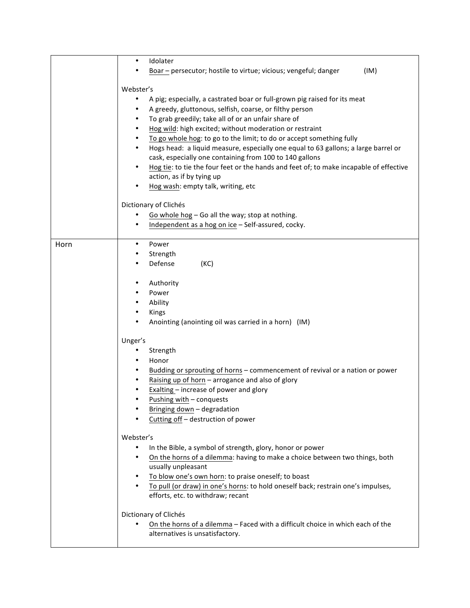|      | Idolater<br>٠                                                                                                                      |
|------|------------------------------------------------------------------------------------------------------------------------------------|
|      | Boar - persecutor; hostile to virtue; vicious; vengeful; danger<br>(IM)                                                            |
|      | Webster's                                                                                                                          |
|      | A pig; especially, a castrated boar or full-grown pig raised for its meat                                                          |
|      | A greedy, gluttonous, selfish, coarse, or filthy person                                                                            |
|      | To grab greedily; take all of or an unfair share of<br>$\bullet$                                                                   |
|      | Hog wild: high excited; without moderation or restraint<br>$\bullet$                                                               |
|      | To go whole hog: to go to the limit; to do or accept something fully<br>$\bullet$                                                  |
|      | Hogs head: a liquid measure, especially one equal to 63 gallons; a large barrel or                                                 |
|      | cask, especially one containing from 100 to 140 gallons                                                                            |
|      | Hog tie: to tie the four feet or the hands and feet of; to make incapable of effective<br>٠                                        |
|      | action, as if by tying up                                                                                                          |
|      | Hog wash: empty talk, writing, etc                                                                                                 |
|      | Dictionary of Clichés                                                                                                              |
|      | Go whole hog - Go all the way; stop at nothing.                                                                                    |
|      | Independent as a hog on ice - Self-assured, cocky.<br>$\bullet$                                                                    |
| Horn | Power<br>٠                                                                                                                         |
|      | Strength                                                                                                                           |
|      | Defense<br>(KC)                                                                                                                    |
|      | Authority<br>$\bullet$                                                                                                             |
|      | Power                                                                                                                              |
|      | Ability<br>٠                                                                                                                       |
|      | Kings<br>$\bullet$                                                                                                                 |
|      | Anointing (anointing oil was carried in a horn) (IM)                                                                               |
|      | Unger's                                                                                                                            |
|      | Strength                                                                                                                           |
|      | Honor                                                                                                                              |
|      | Budding or sprouting of horns - commencement of revival or a nation or power                                                       |
|      | Raising up of horn - arrogance and also of glory                                                                                   |
|      | Exalting - increase of power and glory                                                                                             |
|      | Pushing with - conquests                                                                                                           |
|      | Bringing down - degradation                                                                                                        |
|      | Cutting off - destruction of power                                                                                                 |
|      | Webster's                                                                                                                          |
|      | In the Bible, a symbol of strength, glory, honor or power                                                                          |
|      | On the horns of a dilemma: having to make a choice between two things, both<br>٠                                                   |
|      | usually unpleasant                                                                                                                 |
|      | To blow one's own horn: to praise oneself; to boast<br>$\bullet$                                                                   |
|      | To pull (or draw) in one's horns: to hold oneself back; restrain one's impulses,<br>$\bullet$<br>efforts, etc. to withdraw; recant |
|      | Dictionary of Clichés                                                                                                              |
|      | On the horns of a dilemma - Faced with a difficult choice in which each of the                                                     |
|      | alternatives is unsatisfactory.                                                                                                    |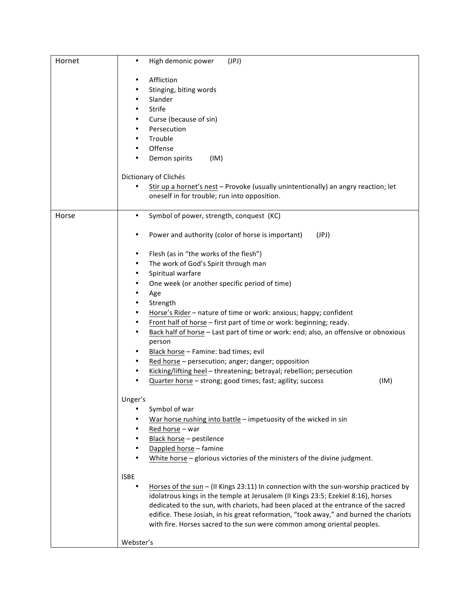| Hornet | High demonic power<br>(JPI)<br>٠                                                                                                                                            |
|--------|-----------------------------------------------------------------------------------------------------------------------------------------------------------------------------|
|        |                                                                                                                                                                             |
|        | Affliction<br>٠                                                                                                                                                             |
|        | Stinging, biting words<br>٠                                                                                                                                                 |
|        | Slander<br>٠                                                                                                                                                                |
|        | Strife<br>٠                                                                                                                                                                 |
|        | Curse (because of sin)<br>٠                                                                                                                                                 |
|        | Persecution<br>٠                                                                                                                                                            |
|        | Trouble<br>٠                                                                                                                                                                |
|        | Offense<br>٠                                                                                                                                                                |
|        | Demon spirits<br>(IM)<br>٠                                                                                                                                                  |
|        | Dictionary of Clichés                                                                                                                                                       |
|        | Stir up a hornet's nest - Provoke (usually unintentionally) an angry reaction; let<br>$\bullet$                                                                             |
|        | oneself in for trouble; run into opposition.                                                                                                                                |
| Horse  | Symbol of power, strength, conquest (KC)<br>$\bullet$                                                                                                                       |
|        |                                                                                                                                                                             |
|        | Power and authority (color of horse is important)<br>(JPI)<br>٠                                                                                                             |
|        | Flesh (as in "the works of the flesh")<br>٠                                                                                                                                 |
|        | The work of God's Spirit through man<br>٠                                                                                                                                   |
|        | Spiritual warfare<br>٠                                                                                                                                                      |
|        | One week (or another specific period of time)<br>٠                                                                                                                          |
|        | $\bullet$<br>Age                                                                                                                                                            |
|        | Strength<br>٠                                                                                                                                                               |
|        | Horse's Rider - nature of time or work: anxious; happy; confident<br>٠                                                                                                      |
|        | Front half of horse - first part of time or work: beginning; ready.<br>٠                                                                                                    |
|        | Back half of horse - Last part of time or work: end; also, an offensive or obnoxious<br>$\bullet$                                                                           |
|        | person                                                                                                                                                                      |
|        | Black horse - Famine: bad times; evil<br>٠                                                                                                                                  |
|        | Red horse - persecution; anger; danger; opposition<br>٠                                                                                                                     |
|        | Kicking/lifting heel - threatening; betrayal; rebellion; persecution<br>٠                                                                                                   |
|        | Quarter horse - strong; good times; fast; agility; success<br>(IM)                                                                                                          |
|        |                                                                                                                                                                             |
|        | Unger's<br>Symbol of war                                                                                                                                                    |
|        | War horse rushing into battle - impetuosity of the wicked in sin                                                                                                            |
|        | Red horse - war                                                                                                                                                             |
|        | Black horse - pestilence<br>$\bullet$                                                                                                                                       |
|        | Dappled horse - famine                                                                                                                                                      |
|        | White horse - glorious victories of the ministers of the divine judgment.                                                                                                   |
|        |                                                                                                                                                                             |
|        | <b>ISBE</b>                                                                                                                                                                 |
|        | Horses of the sun - (II Kings 23:11) In connection with the sun-worship practiced by<br>$\bullet$                                                                           |
|        | idolatrous kings in the temple at Jerusalem (II Kings 23:5; Ezekiel 8:16), horses                                                                                           |
|        | dedicated to the sun, with chariots, had been placed at the entrance of the sacred<br>edifice. These Josiah, in his great reformation, "took away," and burned the chariots |
|        | with fire. Horses sacred to the sun were common among oriental peoples.                                                                                                     |
|        |                                                                                                                                                                             |
|        | Webster's                                                                                                                                                                   |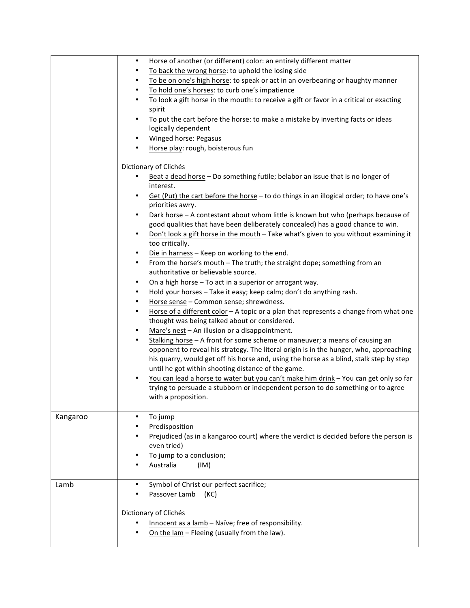|          | Horse of another (or different) color: an entirely different matter<br>$\bullet$                                     |
|----------|----------------------------------------------------------------------------------------------------------------------|
|          | To back the wrong horse: to uphold the losing side<br>$\bullet$                                                      |
|          | To be on one's high horse: to speak or act in an overbearing or haughty manner<br>$\bullet$                          |
|          | To hold one's horses: to curb one's impatience<br>$\bullet$                                                          |
|          | To look a gift horse in the mouth: to receive a gift or favor in a critical or exacting<br>$\bullet$                 |
|          | spirit                                                                                                               |
|          | To put the cart before the horse: to make a mistake by inverting facts or ideas<br>$\bullet$                         |
|          | logically dependent                                                                                                  |
|          | <b>Winged horse: Pegasus</b><br>$\bullet$                                                                            |
|          | Horse play: rough, boisterous fun<br>$\bullet$                                                                       |
|          | Dictionary of Clichés                                                                                                |
|          | Beat a dead horse - Do something futile; belabor an issue that is no longer of                                       |
|          | interest.                                                                                                            |
|          | Get (Put) the cart before the horse - to do things in an illogical order; to have one's<br>$\bullet$                 |
|          | priorities awry.                                                                                                     |
|          | Dark horse - A contestant about whom little is known but who (perhaps because of<br>$\bullet$                        |
|          | good qualities that have been deliberately concealed) has a good chance to win.                                      |
|          | Don't look a gift horse in the mouth - Take what's given to you without examining it<br>$\bullet$<br>too critically. |
|          | Die in harness - Keep on working to the end.<br>$\bullet$                                                            |
|          | From the horse's mouth - The truth; the straight dope; something from an<br>$\bullet$                                |
|          | authoritative or believable source.                                                                                  |
|          | On a high horse - To act in a superior or arrogant way.<br>$\bullet$                                                 |
|          | Hold your horses - Take it easy; keep calm; don't do anything rash.<br>$\bullet$                                     |
|          | Horse sense - Common sense; shrewdness.<br>$\bullet$                                                                 |
|          | Horse of a different color - A topic or a plan that represents a change from what one<br>$\bullet$                   |
|          | thought was being talked about or considered.                                                                        |
|          | Mare's nest - An illusion or a disappointment.<br>$\bullet$                                                          |
|          | Stalking horse - A front for some scheme or maneuver; a means of causing an<br>$\bullet$                             |
|          | opponent to reveal his strategy. The literal origin is in the hunger, who, approaching                               |
|          | his quarry, would get off his horse and, using the horse as a blind, stalk step by step                              |
|          | until he got within shooting distance of the game.                                                                   |
|          | You can lead a horse to water but you can't make him drink - You can get only so far<br>$\bullet$                    |
|          | trying to persuade a stubborn or independent person to do something or to agree                                      |
|          | with a proposition.                                                                                                  |
| Kangaroo | To jump<br>$\bullet$                                                                                                 |
|          | Predisposition<br>٠                                                                                                  |
|          | Prejudiced (as in a kangaroo court) where the verdict is decided before the person is                                |
|          | even tried)                                                                                                          |
|          | To jump to a conclusion;<br>٠                                                                                        |
|          | Australia<br>(IM)                                                                                                    |
| Lamb     | Symbol of Christ our perfect sacrifice;<br>$\bullet$                                                                 |
|          | Passover Lamb<br>(KC)                                                                                                |
|          |                                                                                                                      |
|          | Dictionary of Clichés                                                                                                |
|          | Innocent as a lamb - Naïve; free of responsibility.                                                                  |
|          | On the lam - Fleeing (usually from the law).                                                                         |
|          |                                                                                                                      |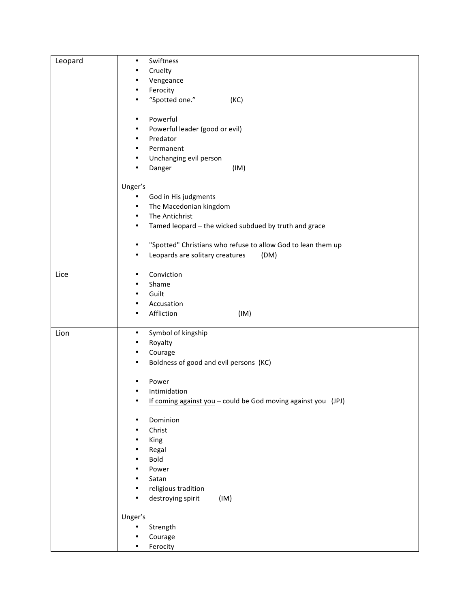| Leopard | Swiftness<br>$\bullet$                                                    |
|---------|---------------------------------------------------------------------------|
|         | Cruelty<br>٠                                                              |
|         | Vengeance<br>٠                                                            |
|         | Ferocity<br>$\bullet$                                                     |
|         | "Spotted one."<br>(KC)<br>$\bullet$                                       |
|         |                                                                           |
|         | Powerful<br>$\bullet$                                                     |
|         | Powerful leader (good or evil)<br>٠                                       |
|         | Predator<br>$\bullet$                                                     |
|         | Permanent<br>٠                                                            |
|         | Unchanging evil person<br>$\bullet$                                       |
|         | Danger<br>(IM)<br>٠                                                       |
|         |                                                                           |
|         | Unger's                                                                   |
|         | God in His judgments<br>٠                                                 |
|         | The Macedonian kingdom<br>$\bullet$                                       |
|         | The Antichrist<br>$\bullet$                                               |
|         | Tamed leopard - the wicked subdued by truth and grace<br>$\bullet$        |
|         |                                                                           |
|         | "Spotted" Christians who refuse to allow God to lean them up<br>$\bullet$ |
|         | Leopards are solitary creatures<br>(DM)<br>٠                              |
|         |                                                                           |
| Lice    | Conviction<br>$\bullet$                                                   |
|         | Shame<br>$\bullet$                                                        |
|         | Guilt<br>$\bullet$                                                        |
|         | Accusation<br>$\bullet$                                                   |
|         | Affliction<br>(IM)<br>٠                                                   |
|         |                                                                           |
| Lion    | Symbol of kingship<br>$\bullet$                                           |
|         | Royalty<br>٠                                                              |
|         | Courage<br>٠                                                              |
|         | Boldness of good and evil persons (KC)<br>$\bullet$                       |
|         |                                                                           |
|         | Power<br>٠                                                                |
|         | Intimidation                                                              |
|         | If coming against you - could be God moving against you (JPJ)             |
|         |                                                                           |
|         | Dominion<br>٠                                                             |
|         | Christ<br>٠                                                               |
|         | King<br>٠                                                                 |
|         | Regal<br>٠                                                                |
|         | Bold<br>$\bullet$                                                         |
|         | Power<br>٠                                                                |
|         | Satan<br>٠                                                                |
|         | religious tradition                                                       |
|         | destroying spirit<br>(IM)                                                 |
|         |                                                                           |
|         | Unger's                                                                   |
|         | Strength                                                                  |
|         | Courage                                                                   |
|         | Ferocity<br>٠                                                             |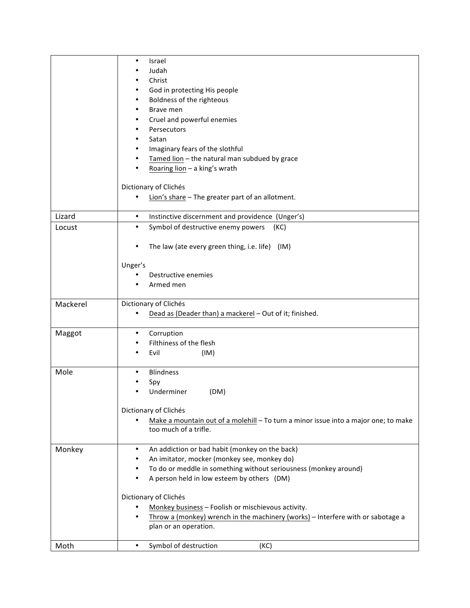|          | Israel<br>٠                                                                         |
|----------|-------------------------------------------------------------------------------------|
|          | Judah                                                                               |
|          | Christ                                                                              |
|          | God in protecting His people                                                        |
|          | Boldness of the righteous<br>٠                                                      |
|          | Brave men<br>٠                                                                      |
|          | Cruel and powerful enemies<br>٠                                                     |
|          | Persecutors<br>٠                                                                    |
|          | Satan                                                                               |
|          | Imaginary fears of the slothful                                                     |
|          | Tamed lion - the natural man subdued by grace                                       |
|          | Roaring lion - a king's wrath                                                       |
|          | Dictionary of Clichés                                                               |
|          | Lion's share - The greater part of an allotment.<br>$\bullet$                       |
| Lizard   | $\bullet$<br>Instinctive discernment and providence (Unger's)                       |
| Locust   | Symbol of destructive enemy powers<br>$\bullet$<br>(KC)                             |
|          |                                                                                     |
|          | The law (ate every green thing, i.e. life) (IM)<br>٠                                |
|          |                                                                                     |
|          | Unger's                                                                             |
|          | Destructive enemies<br>٠                                                            |
|          | Armed men                                                                           |
| Mackerel | Dictionary of Clichés                                                               |
|          | Dead as (Deader than) a mackerel - Out of it; finished.                             |
|          | ٠                                                                                   |
| Maggot   | Corruption<br>Filthiness of the flesh                                               |
|          | Evil<br>٠                                                                           |
|          | (IM)                                                                                |
| Mole     | <b>Blindness</b><br>$\bullet$                                                       |
|          | Spy                                                                                 |
|          | Underminer<br>(DM)                                                                  |
|          |                                                                                     |
|          | Dictionary of Clichés                                                               |
|          | Make a mountain out of a molehill - To turn a minor issue into a major one; to make |
|          | too much of a trifle.                                                               |
| Monkey   | An addiction or bad habit (monkey on the back)<br>$\bullet$                         |
|          | An imitator, mocker (monkey see, monkey do)                                         |
|          | To do or meddle in something without seriousness (monkey around)<br>٠               |
|          | A person held in low esteem by others (DM)<br>$\bullet$                             |
|          | Dictionary of Clichés                                                               |
|          | Monkey business - Foolish or mischievous activity.                                  |
|          | Throw a (monkey) wrench in the machinery (works) - Interfere with or sabotage a     |
|          | plan or an operation.                                                               |
| Moth     | $\bullet$                                                                           |
|          | Symbol of destruction<br>(KC)                                                       |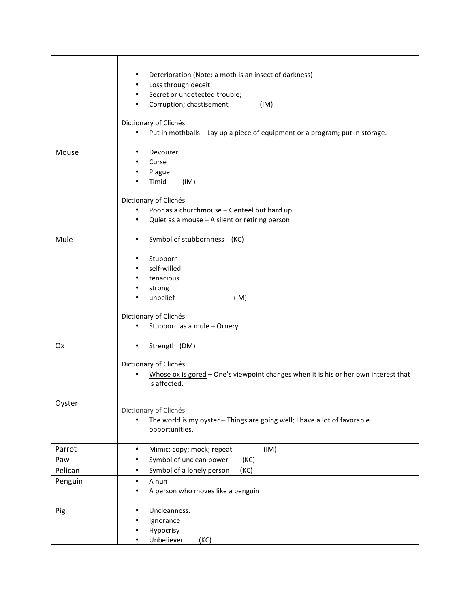|         | Deterioration (Note: a moth is an insect of darkness)<br>$\bullet$<br>Loss through deceit;<br>$\bullet$<br>Secret or undetected trouble;<br>$\bullet$<br>Corruption; chastisement<br>(IM)<br>$\bullet$<br>Dictionary of Clichés<br>Put in mothballs - Lay up a piece of equipment or a program; put in storage.<br>$\bullet$ |
|---------|------------------------------------------------------------------------------------------------------------------------------------------------------------------------------------------------------------------------------------------------------------------------------------------------------------------------------|
| Mouse   | Devourer<br>$\bullet$<br>Curse<br>Plague<br>٠<br>Timid<br>(IM)<br>Dictionary of Clichés                                                                                                                                                                                                                                      |
|         | Poor as a churchmouse - Genteel but hard up.<br>$\bullet$<br>Quiet as a mouse - A silent or retiring person<br>٠                                                                                                                                                                                                             |
| Mule    | Symbol of stubbornness (KC)<br>$\bullet$                                                                                                                                                                                                                                                                                     |
|         | Stubborn<br>$\bullet$<br>self-willed<br>$\bullet$<br>tenacious<br>$\bullet$<br>strong<br>٠<br>unbelief<br>(IM)                                                                                                                                                                                                               |
|         | Dictionary of Clichés<br>Stubborn as a mule - Ornery.<br>$\bullet$                                                                                                                                                                                                                                                           |
| Ox      | $\bullet$<br>Strength (DM)<br>Dictionary of Clichés<br>Whose ox is gored - One's viewpoint changes when it is his or her own interest that<br>is affected.                                                                                                                                                                   |
| Oyster  | Dictionary of Clichés<br>The world is my oyster - Things are going well; I have a lot of favorable<br>$\bullet$<br>opportunities.                                                                                                                                                                                            |
| Parrot  | Mimic; copy; mock; repeat<br>$\bullet$<br>(IM)                                                                                                                                                                                                                                                                               |
| Paw     | Symbol of unclean power<br>(KC)<br>$\bullet$                                                                                                                                                                                                                                                                                 |
| Pelican | Symbol of a lonely person<br>(KC)<br>$\bullet$                                                                                                                                                                                                                                                                               |
| Penguin | A nun<br>$\bullet$<br>A person who moves like a penguin<br>٠                                                                                                                                                                                                                                                                 |
| Pig     | Uncleanness.<br>$\bullet$<br>Ignorance<br>٠<br>Hypocrisy<br>Unbeliever<br>(KC)<br>$\bullet$                                                                                                                                                                                                                                  |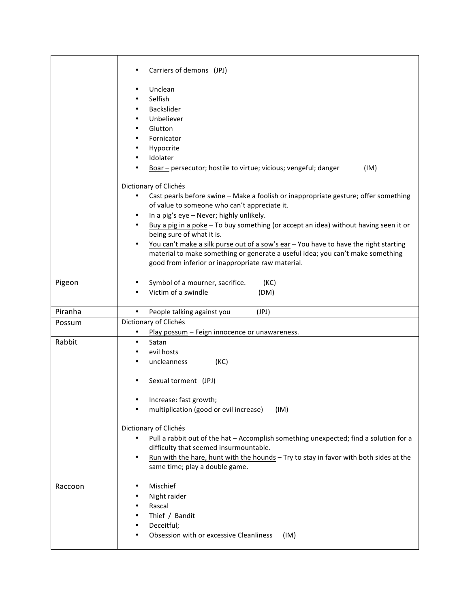|         | Carriers of demons (JPJ)                                                                                                       |
|---------|--------------------------------------------------------------------------------------------------------------------------------|
|         | Unclean<br>٠                                                                                                                   |
|         | Selfish                                                                                                                        |
|         | Backslider                                                                                                                     |
|         | Unbeliever                                                                                                                     |
|         | Glutton<br>Fornicator<br>٠                                                                                                     |
|         | Hypocrite<br>$\bullet$                                                                                                         |
|         | Idolater                                                                                                                       |
|         | Boar - persecutor; hostile to virtue; vicious; vengeful; danger<br>(IM)                                                        |
|         | Dictionary of Clichés                                                                                                          |
|         | Cast pearls before swine - Make a foolish or inappropriate gesture; offer something<br>$\bullet$                               |
|         | of value to someone who can't appreciate it.                                                                                   |
|         | In a pig's eye - Never; highly unlikely.<br>$\bullet$                                                                          |
|         | Buy a pig in a poke - To buy something (or accept an idea) without having seen it or<br>$\bullet$<br>being sure of what it is. |
|         | You can't make a silk purse out of a sow's ear - You have to have the right starting<br>$\bullet$                              |
|         | material to make something or generate a useful idea; you can't make something                                                 |
|         | good from inferior or inappropriate raw material.                                                                              |
| Pigeon  | Symbol of a mourner, sacrifice.<br>(KC)<br>٠                                                                                   |
|         | Victim of a swindle<br>(DM)                                                                                                    |
|         |                                                                                                                                |
| Piranha | $\bullet$<br>(JPI)<br>People talking against you                                                                               |
| Possum  | Dictionary of Clichés                                                                                                          |
|         | Play possum - Feign innocence or unawareness.                                                                                  |
| Rabbit  | Satan<br>٠                                                                                                                     |
|         | evil hosts<br>uncleanness                                                                                                      |
|         | (KC)                                                                                                                           |
|         | Sexual torment (JPJ)<br>٠                                                                                                      |
|         | Increase: fast growth;                                                                                                         |
|         | multiplication (good or evil increase)<br>(IM)<br>٠                                                                            |
|         |                                                                                                                                |
|         | Dictionary of Clichés                                                                                                          |
|         | Pull a rabbit out of the hat - Accomplish something unexpected; find a solution for a<br>$\bullet$                             |
|         | difficulty that seemed insurmountable.                                                                                         |
|         |                                                                                                                                |
|         | Run with the hare, hunt with the hounds - Try to stay in favor with both sides at the<br>٠                                     |
|         | same time; play a double game.                                                                                                 |
|         |                                                                                                                                |
| Raccoon | Mischief<br>$\bullet$                                                                                                          |
|         | Night raider                                                                                                                   |
|         | Rascal<br>٠                                                                                                                    |
|         | Thief / Bandit<br>٠                                                                                                            |
|         | Deceitful;<br>Obsession with or excessive Cleanliness<br>(IM)                                                                  |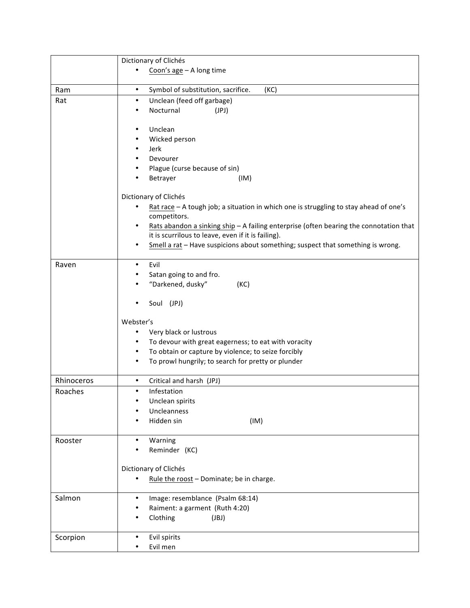|            | Dictionary of Clichés                                                                        |
|------------|----------------------------------------------------------------------------------------------|
|            | Coon's $age - A long time$                                                                   |
|            |                                                                                              |
| Ram        | Symbol of substitution, sacrifice.<br>(KC)<br>$\bullet$                                      |
| Rat        | Unclean (feed off garbage)<br>$\bullet$                                                      |
|            | Nocturnal<br>(JPI)<br>٠                                                                      |
|            | Unclean<br>٠                                                                                 |
|            | Wicked person<br>٠                                                                           |
|            | Jerk<br>٠                                                                                    |
|            | Devourer                                                                                     |
|            | Plague (curse because of sin)<br>٠                                                           |
|            | Betrayer<br>(IM)                                                                             |
|            | Dictionary of Clichés                                                                        |
|            | Rat race $-$ A tough job; a situation in which one is struggling to stay ahead of one's      |
|            | competitors.                                                                                 |
|            | Rats abandon a sinking ship - A failing enterprise (often bearing the connotation that<br>٠  |
|            | it is scurrilous to leave, even if it is failing).                                           |
|            | Smell a rat - Have suspicions about something; suspect that something is wrong.<br>$\bullet$ |
| Raven      | Evil<br>$\bullet$                                                                            |
|            | Satan going to and fro.                                                                      |
|            | "Darkened, dusky"<br>(KC)                                                                    |
|            |                                                                                              |
|            | Soul (JPJ)                                                                                   |
|            | Webster's                                                                                    |
|            | Very black or lustrous<br>٠                                                                  |
|            | To devour with great eagerness; to eat with voracity<br>$\bullet$                            |
|            | To obtain or capture by violence; to seize forcibly<br>$\bullet$                             |
|            | To prowl hungrily; to search for pretty or plunder<br>٠                                      |
| Rhinoceros | Critical and harsh (JPJ)<br>$\bullet$                                                        |
| Roaches    | Infestation<br>$\bullet$                                                                     |
|            | Unclean spirits                                                                              |
|            | Uncleanness                                                                                  |
|            | Hidden sin<br>(IM)                                                                           |
| Rooster    | Warning<br>$\bullet$                                                                         |
|            | Reminder (KC)                                                                                |
|            |                                                                                              |
|            | Dictionary of Clichés<br>$\bullet$                                                           |
|            | Rule the roost - Dominate; be in charge.                                                     |
| Salmon     | Image: resemblance (Psalm 68:14)<br>$\bullet$                                                |
|            | Raiment: a garment (Ruth 4:20)                                                               |
|            | Clothing<br>(JBJ)<br>٠                                                                       |
| Scorpion   | Evil spirits<br>$\bullet$                                                                    |
|            | Evil men<br>$\bullet$                                                                        |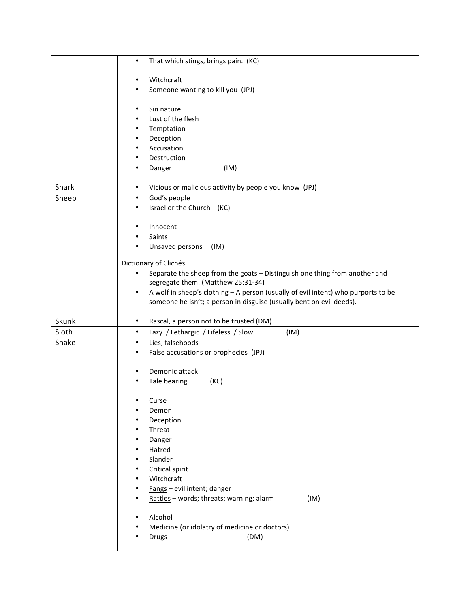|                | That which stings, brings pain. (KC)<br>$\bullet$                                                                |
|----------------|------------------------------------------------------------------------------------------------------------------|
|                | Witchcraft<br>٠                                                                                                  |
|                | Someone wanting to kill you (JPJ)                                                                                |
|                |                                                                                                                  |
|                | Sin nature<br>٠                                                                                                  |
|                | Lust of the flesh<br>٠                                                                                           |
|                | Temptation<br>٠                                                                                                  |
|                | Deception<br>٠<br>Accusation<br>٠                                                                                |
|                | Destruction                                                                                                      |
|                | (IM)<br>Danger<br>٠                                                                                              |
|                |                                                                                                                  |
| Shark          | Vicious or malicious activity by people you know (JPJ)<br>$\bullet$                                              |
| Sheep          | God's people<br>$\bullet$                                                                                        |
|                | Israel or the Church (KC)<br>٠                                                                                   |
|                | Innocent<br>٠                                                                                                    |
|                | Saints                                                                                                           |
|                | Unsaved persons<br>(IM)                                                                                          |
|                |                                                                                                                  |
|                | Dictionary of Clichés<br>$\bullet$                                                                               |
|                | Separate the sheep from the goats - Distinguish one thing from another and<br>segregate them. (Matthew 25:31-34) |
|                | A wolf in sheep's clothing - A person (usually of evil intent) who purports to be<br>$\bullet$                   |
|                | someone he isn't; a person in disguise (usually bent on evil deeds).                                             |
|                |                                                                                                                  |
| Skunk<br>Sloth | $\bullet$<br>Rascal, a person not to be trusted (DM)<br>Lazy / Lethargic / Lifeless / Slow<br>(IM)<br>$\bullet$  |
| Snake          | Lies; falsehoods<br>$\bullet$                                                                                    |
|                | False accusations or prophecies (JPJ)<br>٠                                                                       |
|                |                                                                                                                  |
|                | Demonic attack<br>٠                                                                                              |
|                | Tale bearing<br>(KC)                                                                                             |
|                |                                                                                                                  |
|                | Curse<br>Demon                                                                                                   |
|                | Deception                                                                                                        |
|                | Threat                                                                                                           |
|                | Danger                                                                                                           |
|                | Hatred                                                                                                           |
|                | Slander                                                                                                          |
|                | Critical spirit                                                                                                  |
|                | Witchcraft<br>Fangs - evil intent; danger                                                                        |
|                | Rattles - words; threats; warning; alarm<br>(IM)                                                                 |
|                |                                                                                                                  |
|                | Alcohol                                                                                                          |
|                |                                                                                                                  |
|                | Medicine (or idolatry of medicine or doctors)<br>(DM)<br><b>Drugs</b>                                            |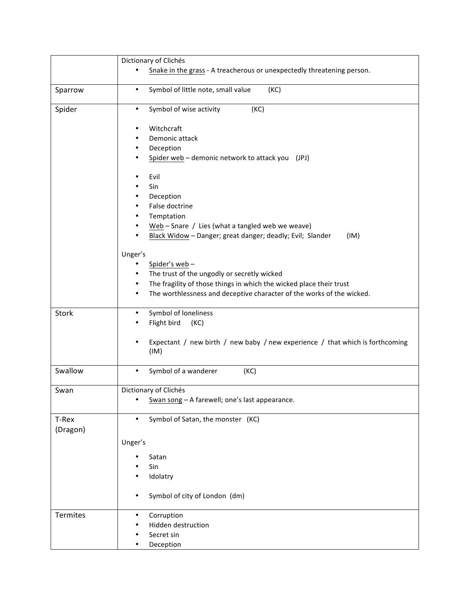|                   | Dictionary of Clichés                                                                                        |
|-------------------|--------------------------------------------------------------------------------------------------------------|
|                   | Snake in the grass - A treacherous or unexpectedly threatening person.                                       |
| Sparrow           | Symbol of little note, small value<br>(KC)<br>$\bullet$                                                      |
| Spider            | Symbol of wise activity<br>(KC)<br>$\bullet$                                                                 |
|                   | Witchcraft<br>٠<br>Demonic attack<br>٠<br>Deception<br>٠<br>Spider web - demonic network to attack you (JPJ) |
|                   | Evil<br>٠                                                                                                    |
|                   | Sin                                                                                                          |
|                   | Deception                                                                                                    |
|                   | False doctrine                                                                                               |
|                   | Temptation                                                                                                   |
|                   | Web - Snare / Lies (what a tangled web we weave)                                                             |
|                   | Black Widow - Danger; great danger; deadly; Evil; Slander<br>(IM)                                            |
|                   | Unger's                                                                                                      |
|                   | Spider's web-<br>٠                                                                                           |
|                   | The trust of the ungodly or secretly wicked<br>$\bullet$                                                     |
|                   | The fragility of those things in which the wicked place their trust<br>$\bullet$                             |
|                   | The worthlessness and deceptive character of the works of the wicked.<br>$\bullet$                           |
| Stork             | Symbol of loneliness<br>$\bullet$                                                                            |
|                   | Flight bird<br>(KC)                                                                                          |
|                   | Expectant / new birth / new baby / new experience / that which is forthcoming<br>٠<br>(IM)                   |
| Swallow           | Symbol of a wanderer<br>(KC)<br>$\bullet$                                                                    |
| Swan              | Dictionary of Clichés                                                                                        |
|                   | Swan song - A farewell; one's last appearance.                                                               |
| T-Rex<br>(Dragon) | Symbol of Satan, the monster (KC)                                                                            |
|                   | Unger's                                                                                                      |
|                   | Satan                                                                                                        |
|                   | Sin                                                                                                          |
|                   | Idolatry                                                                                                     |
|                   | Symbol of city of London (dm)<br>٠                                                                           |
| <b>Termites</b>   | Corruption<br>$\bullet$                                                                                      |
|                   | Hidden destruction                                                                                           |
|                   | Secret sin                                                                                                   |
|                   | Deception                                                                                                    |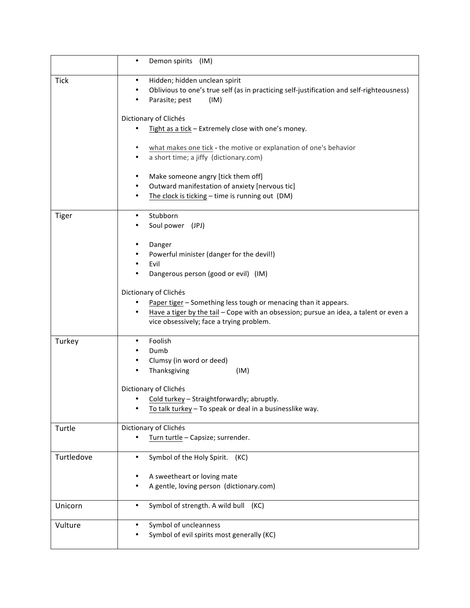|              | Demon spirits (IM)<br>$\bullet$                                                                                                                                                                                                                                                                                                                                                                                                                                                                                                                 |
|--------------|-------------------------------------------------------------------------------------------------------------------------------------------------------------------------------------------------------------------------------------------------------------------------------------------------------------------------------------------------------------------------------------------------------------------------------------------------------------------------------------------------------------------------------------------------|
| <b>Tick</b>  | Hidden; hidden unclean spirit<br>$\bullet$<br>Oblivious to one's true self (as in practicing self-justification and self-righteousness)<br>٠<br>Parasite; pest<br>(IM)<br>Dictionary of Clichés<br>Tight as a tick - Extremely close with one's money.<br>what makes one tick - the motive or explanation of one's behavior<br>٠<br>a short time; a jiffy (dictionary.com)<br>Make someone angry [tick them off]<br>$\bullet$<br>Outward manifestation of anxiety [nervous tic]<br>The clock is ticking - time is running out (DM)<br>$\bullet$ |
| <b>Tiger</b> | Stubborn<br>$\bullet$<br>Soul power (JPJ)<br>Danger<br>٠<br>Powerful minister (danger for the devil!)<br>Evil<br>٠<br>Dangerous person (good or evil) (IM)<br>Dictionary of Clichés<br>Paper tiger - Something less tough or menacing than it appears.<br>Have a tiger by the tail - Cope with an obsession; pursue an idea, a talent or even a<br>$\bullet$<br>vice obsessively; face a trying problem.                                                                                                                                        |
| Turkey       | Foolish<br>$\bullet$<br>Dumb<br>Clumsy (in word or deed)<br>٠<br>Thanksgiving<br>(IM)<br>Dictionary of Clichés<br>Cold turkey - Straightforwardly; abruptly.<br>To talk turkey - To speak or deal in a businesslike way.                                                                                                                                                                                                                                                                                                                        |
| Turtle       | Dictionary of Clichés<br>Turn turtle - Capsize; surrender.                                                                                                                                                                                                                                                                                                                                                                                                                                                                                      |
| Turtledove   | Symbol of the Holy Spirit.<br>(KC)<br>$\bullet$<br>A sweetheart or loving mate<br>A gentle, loving person (dictionary.com)                                                                                                                                                                                                                                                                                                                                                                                                                      |
| Unicorn      | Symbol of strength. A wild bull (KC)<br>$\bullet$                                                                                                                                                                                                                                                                                                                                                                                                                                                                                               |
| Vulture      | Symbol of uncleanness<br>Symbol of evil spirits most generally (KC)                                                                                                                                                                                                                                                                                                                                                                                                                                                                             |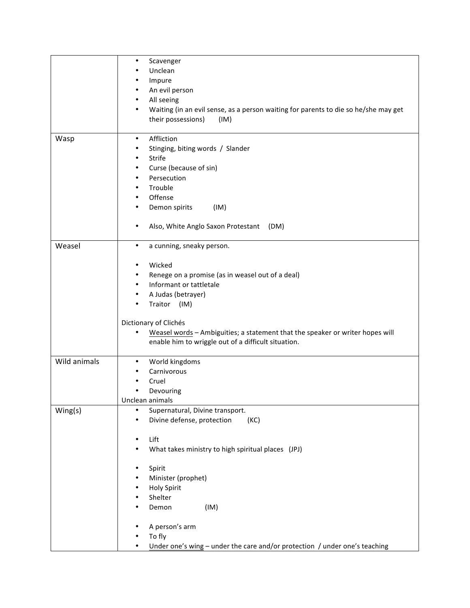|              | $\bullet$<br>Scavenger<br>Unclean                                                                        |
|--------------|----------------------------------------------------------------------------------------------------------|
|              | Impure<br>٠                                                                                              |
|              | An evil person<br>$\bullet$                                                                              |
|              | All seeing<br>$\bullet$                                                                                  |
|              | Waiting (in an evil sense, as a person waiting for parents to die so he/she may get<br>$\bullet$<br>(IM) |
|              | their possessions)                                                                                       |
| Wasp         | Affliction<br>$\bullet$                                                                                  |
|              | Stinging, biting words / Slander<br>٠                                                                    |
|              | Strife<br>$\bullet$<br>٠                                                                                 |
|              | Curse (because of sin)<br>Persecution<br>$\bullet$                                                       |
|              | Trouble<br>$\bullet$                                                                                     |
|              | Offense<br>$\bullet$                                                                                     |
|              | Demon spirits<br>(IM)<br>$\bullet$                                                                       |
|              |                                                                                                          |
|              | Also, White Anglo Saxon Protestant (DM)<br>٠                                                             |
| Weasel       | a cunning, sneaky person.<br>$\bullet$                                                                   |
|              | Wicked<br>$\bullet$                                                                                      |
|              | Renege on a promise (as in weasel out of a deal)<br>٠                                                    |
|              | Informant or tattletale<br>$\bullet$                                                                     |
|              | A Judas (betrayer)<br>$\bullet$                                                                          |
|              | Traitor (IM)                                                                                             |
|              | Dictionary of Clichés                                                                                    |
|              | Weasel words - Ambiguities; a statement that the speaker or writer hopes will<br>$\bullet$               |
|              | enable him to wriggle out of a difficult situation.                                                      |
| Wild animals | World kingdoms<br>$\bullet$                                                                              |
|              | Carnivorous                                                                                              |
|              | Cruel                                                                                                    |
|              | Devouring                                                                                                |
|              | Unclean animals                                                                                          |
| Wing(s)      | Supernatural, Divine transport.<br>٠                                                                     |
|              | Divine defense, protection<br>(KC)                                                                       |
|              | Lift<br>$\bullet$                                                                                        |
|              | What takes ministry to high spiritual places (JPJ)<br>٠                                                  |
|              |                                                                                                          |
|              | Spirit<br>٠                                                                                              |
|              | Minister (prophet)                                                                                       |
|              | <b>Holy Spirit</b>                                                                                       |
|              | Shelter                                                                                                  |
|              | Demon<br>(IM)                                                                                            |
|              | A person's arm                                                                                           |
|              | To fly                                                                                                   |
|              | Under one's wing - under the care and/or protection / under one's teaching                               |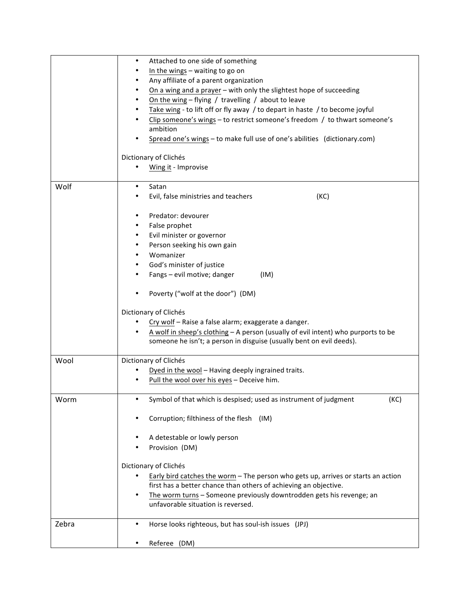|       | Attached to one side of something<br>٠                                                 |
|-------|----------------------------------------------------------------------------------------|
|       | In the wings $-$ waiting to go on                                                      |
|       | Any affiliate of a parent organization                                                 |
|       | On a wing and a prayer - with only the slightest hope of succeeding                    |
|       | On the wing $-$ flying / travelling / about to leave<br>$\bullet$                      |
|       | ٠                                                                                      |
|       | Take wing - to lift off or fly away / to depart in haste / to become joyful            |
|       | Clip someone's wings - to restrict someone's freedom / to thwart someone's             |
|       | ambition                                                                               |
|       | Spread one's wings - to make full use of one's abilities (dictionary.com)              |
|       | Dictionary of Clichés                                                                  |
|       | Wing it - Improvise                                                                    |
|       |                                                                                        |
| Wolf  | Satan<br>٠                                                                             |
|       | Evil, false ministries and teachers<br>(KC)                                            |
|       |                                                                                        |
|       | Predator: devourer<br>٠                                                                |
|       | False prophet<br>٠                                                                     |
|       | Evil minister or governor<br>٠                                                         |
|       | Person seeking his own gain<br>٠                                                       |
|       | Womanizer                                                                              |
|       | God's minister of justice<br>٠                                                         |
|       | Fangs - evil motive; danger<br>(IM)                                                    |
|       |                                                                                        |
|       | Poverty ("wolf at the door") (DM)                                                      |
|       | Dictionary of Clichés                                                                  |
|       | Cry wolf - Raise a false alarm; exaggerate a danger.                                   |
|       |                                                                                        |
|       | A wolf in sheep's clothing - A person (usually of evil intent) who purports to be      |
|       | someone he isn't; a person in disguise (usually bent on evil deeds).                   |
| Wool  | Dictionary of Clichés                                                                  |
|       | Dyed in the wool – Having deeply ingrained traits.                                     |
|       | Pull the wool over his eyes - Deceive him.                                             |
|       |                                                                                        |
| Worm  | (KC)<br>Symbol of that which is despised; used as instrument of judgment               |
|       |                                                                                        |
|       | Corruption; filthiness of the flesh (IM)                                               |
|       |                                                                                        |
|       | A detestable or lowly person                                                           |
|       | Provision (DM)                                                                         |
|       |                                                                                        |
|       | Dictionary of Clichés                                                                  |
|       | Early bird catches the worm - The person who gets up, arrives or starts an action<br>٠ |
|       | first has a better chance than others of achieving an objective.                       |
|       | The worm turns - Someone previously downtrodden gets his revenge; an<br>$\bullet$      |
|       | unfavorable situation is reversed.                                                     |
| Zebra | Horse looks righteous, but has soul-ish issues (JPJ)<br>$\bullet$                      |
|       |                                                                                        |
|       | Referee (DM)<br>$\bullet$                                                              |